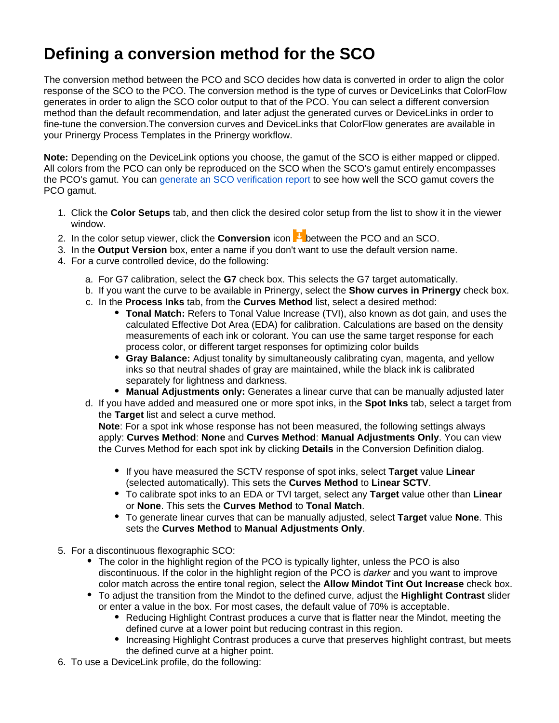## **Defining a conversion method for the SCO**

The conversion method between the PCO and SCO decides how data is converted in order to align the color response of the SCO to the PCO. The conversion method is the type of curves or DeviceLinks that ColorFlow generates in order to align the SCO color output to that of the PCO. You can select a different conversion method than the default recommendation, and later adjust the generated curves or DeviceLinks in order to fine-tune the conversion.The conversion curves and DeviceLinks that ColorFlow generates are available in your Prinergy Process Templates in the Prinergy workflow.

**Note:** Depending on the DeviceLink options you choose, the gamut of the SCO is either mapped or clipped. All colors from the PCO can only be reproduced on the SCO when the SCO's gamut entirely encompasses the PCO's gamut. You can [generate an SCO verification report](https://workflowhelp.kodak.com/display/COLORFLOW83/Generating+a+Verification+report) to see how well the SCO gamut covers the PCO gamut.

- 1. Click the **Color Setups** tab, and then click the desired color setup from the list to show it in the viewer window.
- 2. In the color setup viewer, click the **Conversion** icon **between the PCO** and an SCO.
- 3. In the **Output Version** box, enter a name if you don't want to use the default version name.
- 4. For a curve controlled device, do the following:
	- a. For G7 calibration, select the **G7** check box. This selects the G7 target automatically.
	- b. If you want the curve to be available in Prinergy, select the **Show curves in Prinergy** check box.
	- c. In the **Process Inks** tab, from the **Curves Method** list, select a desired method:
		- **Tonal Match:** Refers to Tonal Value Increase (TVI), also known as dot gain, and uses the calculated Effective Dot Area (EDA) for calibration. Calculations are based on the density measurements of each ink or colorant. You can use the same target response for each process color, or different target responses for optimizing color builds
		- **Gray Balance:** Adjust tonality by simultaneously calibrating cyan, magenta, and yellow inks so that neutral shades of gray are maintained, while the black ink is calibrated separately for lightness and darkness.
		- **Manual Adjustments only:** Generates a linear curve that can be manually adjusted later
	- d. If you have added and measured one or more spot inks, in the **Spot Inks** tab, select a target from the **Target** list and select a curve method.

**Note**: For a spot ink whose response has not been measured, the following settings always apply: **Curves Method**: **None** and **Curves Method**: **Manual Adjustments Only**. You can view the Curves Method for each spot ink by clicking **Details** in the Conversion Definition dialog.

- If you have measured the SCTV response of spot inks, select **Target** value **Linear** (selected automatically). This sets the **Curves Method** to **Linear SCTV**.
- To calibrate spot inks to an EDA or TVI target, select any **Target** value other than **Linear** or **None**. This sets the **Curves Method** to **Tonal Match**.
- To generate linear curves that can be manually adjusted, select **Target** value **None**. This sets the **Curves Method** to **Manual Adjustments Only**.
- 5. For a discontinuous flexographic SCO:
	- The color in the highlight region of the PCO is typically lighter, unless the PCO is also discontinuous. If the color in the highlight region of the PCO is darker and you want to improve color match across the entire tonal region, select the **Allow Mindot Tint Out Increase** check box.
	- To adjust the transition from the Mindot to the defined curve, adjust the **Highlight Contrast** slider or enter a value in the box. For most cases, the default value of 70% is acceptable.
		- Reducing Highlight Contrast produces a curve that is flatter near the Mindot, meeting the defined curve at a lower point but reducing contrast in this region.
		- Increasing Highlight Contrast produces a curve that preserves highlight contrast, but meets the defined curve at a higher point.
- 6. To use a DeviceLink profile, do the following: